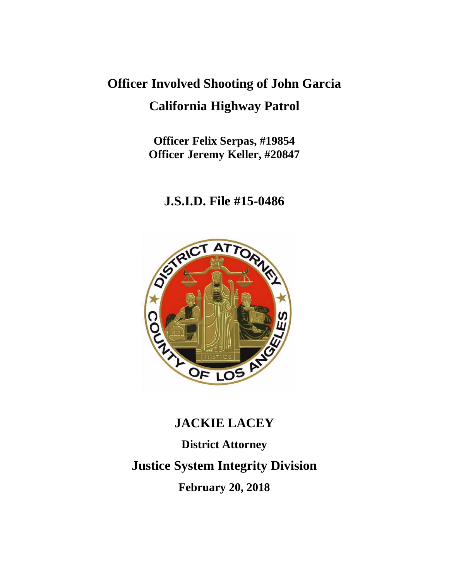# **Officer Involved Shooting of John Garcia California Highway Patrol**

**Officer Felix Serpas, #19854 Officer Jeremy Keller, #20847**

# **J.S.I.D. File #15-0486**



# **JACKIE LACEY**

**District Attorney Justice System Integrity Division February 20, 2018**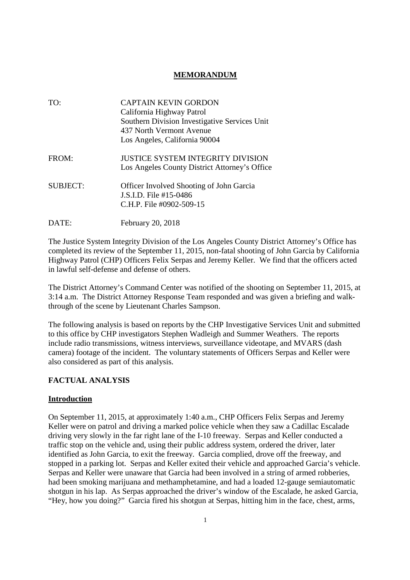# **MEMORANDUM**

| TO:             | <b>CAPTAIN KEVIN GORDON</b><br>California Highway Patrol<br>Southern Division Investigative Services Unit<br>437 North Vermont Avenue<br>Los Angeles, California 90004 |
|-----------------|------------------------------------------------------------------------------------------------------------------------------------------------------------------------|
| FROM:           | <b>JUSTICE SYSTEM INTEGRITY DIVISION</b><br>Los Angeles County District Attorney's Office                                                                              |
| <b>SUBJECT:</b> | <b>Officer Involved Shooting of John Garcia</b><br>J.S.I.D. File #15-0486<br>C.H.P. File #0902-509-15                                                                  |
| DATE:           | <b>February 20, 2018</b>                                                                                                                                               |

The Justice System Integrity Division of the Los Angeles County District Attorney's Office has completed its review of the September 11, 2015, non-fatal shooting of John Garcia by California Highway Patrol (CHP) Officers Felix Serpas and Jeremy Keller. We find that the officers acted in lawful self-defense and defense of others.

The District Attorney's Command Center was notified of the shooting on September 11, 2015, at 3:14 a.m. The District Attorney Response Team responded and was given a briefing and walkthrough of the scene by Lieutenant Charles Sampson.

The following analysis is based on reports by the CHP Investigative Services Unit and submitted to this office by CHP investigators Stephen Wadleigh and Summer Weathers. The reports include radio transmissions, witness interviews, surveillance videotape, and MVARS (dash camera) footage of the incident. The voluntary statements of Officers Serpas and Keller were also considered as part of this analysis.

# **FACTUAL ANALYSIS**

### **Introduction**

On September 11, 2015, at approximately 1:40 a.m., CHP Officers Felix Serpas and Jeremy Keller were on patrol and driving a marked police vehicle when they saw a Cadillac Escalade driving very slowly in the far right lane of the I-10 freeway. Serpas and Keller conducted a traffic stop on the vehicle and, using their public address system, ordered the driver, later identified as John Garcia, to exit the freeway. Garcia complied, drove off the freeway, and stopped in a parking lot. Serpas and Keller exited their vehicle and approached Garcia's vehicle. Serpas and Keller were unaware that Garcia had been involved in a string of armed robberies, had been smoking marijuana and methamphetamine, and had a loaded 12-gauge semiautomatic shotgun in his lap. As Serpas approached the driver's window of the Escalade, he asked Garcia, "Hey, how you doing?" Garcia fired his shotgun at Serpas, hitting him in the face, chest, arms,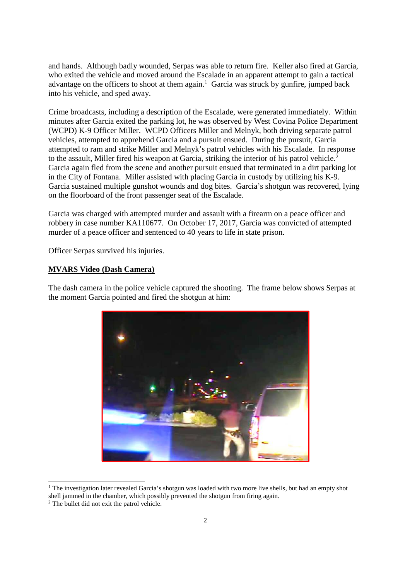and hands. Although badly wounded, Serpas was able to return fire. Keller also fired at Garcia, who exited the vehicle and moved around the Escalade in an apparent attempt to gain a tactical advantage on the officers to shoot at them again.<sup>1</sup> Garcia was struck by gunfire, jumped back into his vehicle, and sped away.

Crime broadcasts, including a description of the Escalade, were generated immediately. Within minutes after Garcia exited the parking lot, he was observed by West Covina Police Department (WCPD) K-9 Officer Miller. WCPD Officers Miller and Melnyk, both driving separate patrol vehicles, attempted to apprehend Garcia and a pursuit ensued. During the pursuit, Garcia attempted to ram and strike Miller and Melnyk's patrol vehicles with his Escalade. In response to the assault, Miller fired his weapon at Garcia, striking the interior of his patrol vehicle.<sup>2</sup> Garcia again fled from the scene and another pursuit ensued that terminated in a dirt parking lot in the City of Fontana. Miller assisted with placing Garcia in custody by utilizing his K-9. Garcia sustained multiple gunshot wounds and dog bites. Garcia's shotgun was recovered, lying on the floorboard of the front passenger seat of the Escalade.

Garcia was charged with attempted murder and assault with a firearm on a peace officer and robbery in case number KA110677. On October 17, 2017, Garcia was convicted of attempted murder of a peace officer and sentenced to 40 years to life in state prison.

Officer Serpas survived his injuries.

#### **MVARS Video (Dash Camera)**

The dash camera in the police vehicle captured the shooting. The frame below shows Serpas at the moment Garcia pointed and fired the shotgun at him:



<sup>&</sup>lt;sup>1</sup> The investigation later revealed Garcia's shotgun was loaded with two more live shells, but had an empty shot shell jammed in the chamber, which possibly prevented the shotgun from firing again.

<sup>&</sup>lt;sup>2</sup> The bullet did not exit the patrol vehicle.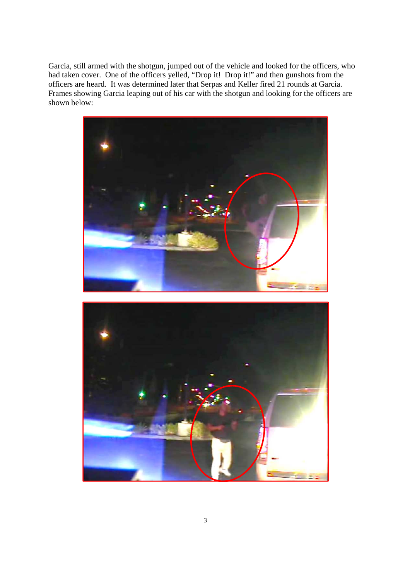Garcia, still armed with the shotgun, jumped out of the vehicle and looked for the officers, who had taken cover. One of the officers yelled, "Drop it! Drop it!" and then gunshots from the officers are heard. It was determined later that Serpas and Keller fired 21 rounds at Garcia. Frames showing Garcia leaping out of his car with the shotgun and looking for the officers are shown below:

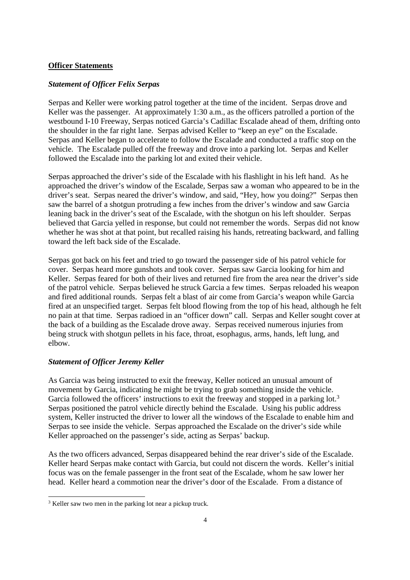#### **Officer Statements**

#### *Statement of Officer Felix Serpas*

Serpas and Keller were working patrol together at the time of the incident. Serpas drove and Keller was the passenger. At approximately 1:30 a.m., as the officers patrolled a portion of the westbound I-10 Freeway, Serpas noticed Garcia's Cadillac Escalade ahead of them, drifting onto the shoulder in the far right lane. Serpas advised Keller to "keep an eye" on the Escalade. Serpas and Keller began to accelerate to follow the Escalade and conducted a traffic stop on the vehicle. The Escalade pulled off the freeway and drove into a parking lot. Serpas and Keller followed the Escalade into the parking lot and exited their vehicle.

Serpas approached the driver's side of the Escalade with his flashlight in his left hand. As he approached the driver's window of the Escalade, Serpas saw a woman who appeared to be in the driver's seat. Serpas neared the driver's window, and said, "Hey, how you doing?" Serpas then saw the barrel of a shotgun protruding a few inches from the driver's window and saw Garcia leaning back in the driver's seat of the Escalade, with the shotgun on his left shoulder. Serpas believed that Garcia yelled in response, but could not remember the words. Serpas did not know whether he was shot at that point, but recalled raising his hands, retreating backward, and falling toward the left back side of the Escalade.

Serpas got back on his feet and tried to go toward the passenger side of his patrol vehicle for cover. Serpas heard more gunshots and took cover. Serpas saw Garcia looking for him and Keller. Serpas feared for both of their lives and returned fire from the area near the driver's side of the patrol vehicle. Serpas believed he struck Garcia a few times. Serpas reloaded his weapon and fired additional rounds. Serpas felt a blast of air come from Garcia's weapon while Garcia fired at an unspecified target. Serpas felt blood flowing from the top of his head, although he felt no pain at that time. Serpas radioed in an "officer down" call. Serpas and Keller sought cover at the back of a building as the Escalade drove away. Serpas received numerous injuries from being struck with shotgun pellets in his face, throat, esophagus, arms, hands, left lung, and elbow.

#### *Statement of Officer Jeremy Keller*

As Garcia was being instructed to exit the freeway, Keller noticed an unusual amount of movement by Garcia, indicating he might be trying to grab something inside the vehicle. Garcia followed the officers' instructions to exit the freeway and stopped in a parking lot.<sup>3</sup> Serpas positioned the patrol vehicle directly behind the Escalade. Using his public address system, Keller instructed the driver to lower all the windows of the Escalade to enable him and Serpas to see inside the vehicle. Serpas approached the Escalade on the driver's side while Keller approached on the passenger's side, acting as Serpas' backup.

As the two officers advanced, Serpas disappeared behind the rear driver's side of the Escalade. Keller heard Serpas make contact with Garcia, but could not discern the words. Keller's initial focus was on the female passenger in the front seat of the Escalade, whom he saw lower her head. Keller heard a commotion near the driver's door of the Escalade. From a distance of

<sup>&</sup>lt;sup>3</sup> Keller saw two men in the parking lot near a pickup truck.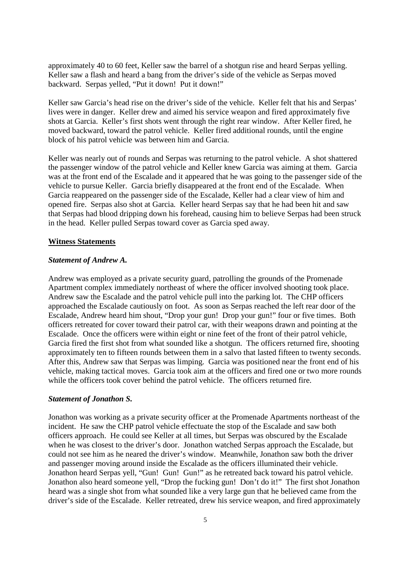approximately 40 to 60 feet, Keller saw the barrel of a shotgun rise and heard Serpas yelling. Keller saw a flash and heard a bang from the driver's side of the vehicle as Serpas moved backward. Serpas yelled, "Put it down! Put it down!"

Keller saw Garcia's head rise on the driver's side of the vehicle. Keller felt that his and Serpas' lives were in danger. Keller drew and aimed his service weapon and fired approximately five shots at Garcia. Keller's first shots went through the right rear window. After Keller fired, he moved backward, toward the patrol vehicle. Keller fired additional rounds, until the engine block of his patrol vehicle was between him and Garcia.

Keller was nearly out of rounds and Serpas was returning to the patrol vehicle. A shot shattered the passenger window of the patrol vehicle and Keller knew Garcia was aiming at them. Garcia was at the front end of the Escalade and it appeared that he was going to the passenger side of the vehicle to pursue Keller. Garcia briefly disappeared at the front end of the Escalade. When Garcia reappeared on the passenger side of the Escalade, Keller had a clear view of him and opened fire. Serpas also shot at Garcia. Keller heard Serpas say that he had been hit and saw that Serpas had blood dripping down his forehead, causing him to believe Serpas had been struck in the head. Keller pulled Serpas toward cover as Garcia sped away.

#### **Witness Statements**

#### *Statement of Andrew A.*

Andrew was employed as a private security guard, patrolling the grounds of the Promenade Apartment complex immediately northeast of where the officer involved shooting took place. Andrew saw the Escalade and the patrol vehicle pull into the parking lot. The CHP officers approached the Escalade cautiously on foot. As soon as Serpas reached the left rear door of the Escalade, Andrew heard him shout, "Drop your gun! Drop your gun!" four or five times. Both officers retreated for cover toward their patrol car, with their weapons drawn and pointing at the Escalade. Once the officers were within eight or nine feet of the front of their patrol vehicle, Garcia fired the first shot from what sounded like a shotgun. The officers returned fire, shooting approximately ten to fifteen rounds between them in a salvo that lasted fifteen to twenty seconds. After this, Andrew saw that Serpas was limping. Garcia was positioned near the front end of his vehicle, making tactical moves. Garcia took aim at the officers and fired one or two more rounds while the officers took cover behind the patrol vehicle. The officers returned fire.

#### *Statement of Jonathon S.*

Jonathon was working as a private security officer at the Promenade Apartments northeast of the incident. He saw the CHP patrol vehicle effectuate the stop of the Escalade and saw both officers approach. He could see Keller at all times, but Serpas was obscured by the Escalade when he was closest to the driver's door. Jonathon watched Serpas approach the Escalade, but could not see him as he neared the driver's window. Meanwhile, Jonathon saw both the driver and passenger moving around inside the Escalade as the officers illuminated their vehicle. Jonathon heard Serpas yell, "Gun! Gun! Gun!" as he retreated back toward his patrol vehicle. Jonathon also heard someone yell, "Drop the fucking gun! Don't do it!" The first shot Jonathon heard was a single shot from what sounded like a very large gun that he believed came from the driver's side of the Escalade. Keller retreated, drew his service weapon, and fired approximately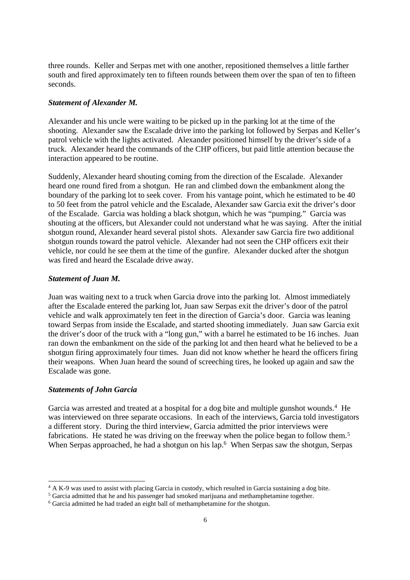three rounds. Keller and Serpas met with one another, repositioned themselves a little farther south and fired approximately ten to fifteen rounds between them over the span of ten to fifteen seconds.

#### *Statement of Alexander M.*

Alexander and his uncle were waiting to be picked up in the parking lot at the time of the shooting. Alexander saw the Escalade drive into the parking lot followed by Serpas and Keller's patrol vehicle with the lights activated. Alexander positioned himself by the driver's side of a truck. Alexander heard the commands of the CHP officers, but paid little attention because the interaction appeared to be routine.

Suddenly, Alexander heard shouting coming from the direction of the Escalade. Alexander heard one round fired from a shotgun. He ran and climbed down the embankment along the boundary of the parking lot to seek cover. From his vantage point, which he estimated to be 40 to 50 feet from the patrol vehicle and the Escalade, Alexander saw Garcia exit the driver's door of the Escalade. Garcia was holding a black shotgun, which he was "pumping." Garcia was shouting at the officers, but Alexander could not understand what he was saying. After the initial shotgun round, Alexander heard several pistol shots. Alexander saw Garcia fire two additional shotgun rounds toward the patrol vehicle. Alexander had not seen the CHP officers exit their vehicle, nor could he see them at the time of the gunfire. Alexander ducked after the shotgun was fired and heard the Escalade drive away.

#### *Statement of Juan M.*

Juan was waiting next to a truck when Garcia drove into the parking lot. Almost immediately after the Escalade entered the parking lot, Juan saw Serpas exit the driver's door of the patrol vehicle and walk approximately ten feet in the direction of Garcia's door. Garcia was leaning toward Serpas from inside the Escalade, and started shooting immediately. Juan saw Garcia exit the driver's door of the truck with a "long gun," with a barrel he estimated to be 16 inches. Juan ran down the embankment on the side of the parking lot and then heard what he believed to be a shotgun firing approximately four times. Juan did not know whether he heard the officers firing their weapons. When Juan heard the sound of screeching tires, he looked up again and saw the Escalade was gone.

#### *Statements of John Garcia*

Garcia was arrested and treated at a hospital for a dog bite and multiple gunshot wounds.<sup>4</sup> He was interviewed on three separate occasions. In each of the interviews, Garcia told investigators a different story. During the third interview, Garcia admitted the prior interviews were fabrications. He stated he was driving on the freeway when the police began to follow them.<sup>5</sup> When Serpas approached, he had a shotgun on his lap.<sup>6</sup> When Serpas saw the shotgun, Serpas

<sup>4</sup> A K-9 was used to assist with placing Garcia in custody, which resulted in Garcia sustaining a dog bite.

<sup>5</sup> Garcia admitted that he and his passenger had smoked marijuana and methamphetamine together.

<sup>6</sup> Garcia admitted he had traded an eight ball of methamphetamine for the shotgun.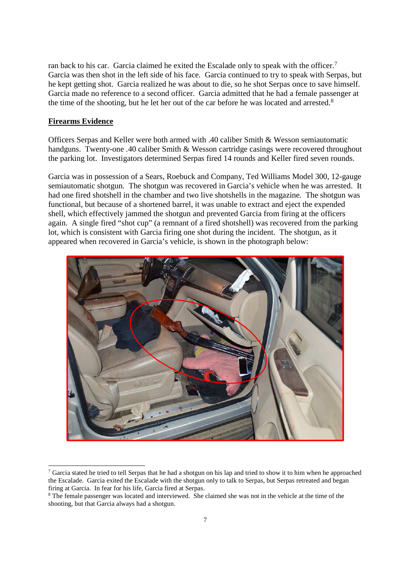ran back to his car. Garcia claimed he exited the Escalade only to speak with the officer.<sup>7</sup> Garcia was then shot in the left side of his face. Garcia continued to try to speak with Serpas, but he kept getting shot. Garcia realized he was about to die, so he shot Serpas once to save himself. Garcia made no reference to a second officer. Garcia admitted that he had a female passenger at the time of the shooting, but he let her out of the car before he was located and arrested.<sup>8</sup>

### **Firearms Evidence**

Officers Serpas and Keller were both armed with .40 caliber Smith & Wesson semiautomatic handguns. Twenty-one .40 caliber Smith & Wesson cartridge casings were recovered throughout the parking lot. Investigators determined Serpas fired 14 rounds and Keller fired seven rounds.

Garcia was in possession of a Sears, Roebuck and Company, Ted Williams Model 300, 12-gauge semiautomatic shotgun. The shotgun was recovered in Garcia's vehicle when he was arrested. It had one fired shotshell in the chamber and two live shotshells in the magazine. The shotgun was functional, but because of a shortened barrel, it was unable to extract and eject the expended shell, which effectively jammed the shotgun and prevented Garcia from firing at the officers again. A single fired "shot cup" (a remnant of a fired shotshell) was recovered from the parking lot, which is consistent with Garcia firing one shot during the incident. The shotgun, as it appeared when recovered in Garcia's vehicle, is shown in the photograph below:



<sup>&</sup>lt;sup>7</sup> Garcia stated he tried to tell Serpas that he had a shotgun on his lap and tried to show it to him when he approached the Escalade. Garcia exited the Escalade with the shotgun only to talk to Serpas, but Serpas retreated and began firing at Garcia. In fear for his life, Garcia fired at Serpas.

<sup>8</sup> The female passenger was located and interviewed. She claimed she was not in the vehicle at the time of the shooting, but that Garcia always had a shotgun.